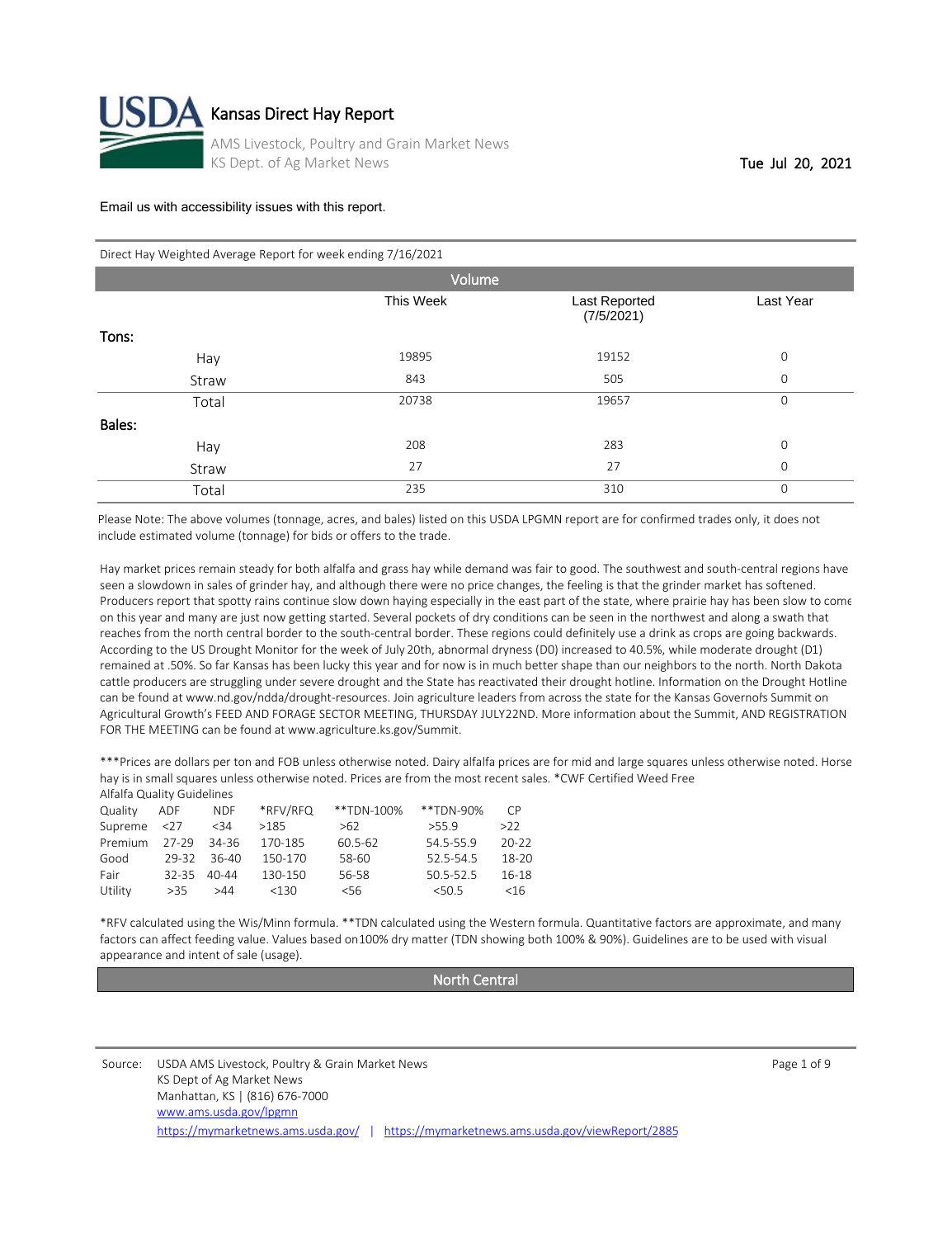

| Direct Hay Weighted Average Report for week ending 7/16/2021 |  |
|--------------------------------------------------------------|--|
|--------------------------------------------------------------|--|

|        | Volume    |                             |              |
|--------|-----------|-----------------------------|--------------|
|        | This Week | Last Reported<br>(7/5/2021) | Last Year    |
| Tons:  |           |                             |              |
| Hay    | 19895     | 19152                       | $\mathbf 0$  |
| Straw  | 843       | 505                         | $\mathbf{O}$ |
| Total  | 20738     | 19657                       | $\mathbf 0$  |
| Bales: |           |                             |              |
| Hay    | 208       | 283                         | $\mathbf 0$  |
| Straw  | 27        | 27                          | $\mathbf{O}$ |
| Total  | 235       | 310                         | $\mathbf 0$  |

Please Note: The above volumes (tonnage, acres, and bales) listed on this USDA LPGMN report are for confirmed trades only, it does not include estimated volume (tonnage) for bids or offers to the trade.

Hay market prices remain steady for both alfalfa and grass hay while demand was fair to good. The southwest and south-central regions have seen a slowdown in sales of grinder hay, and although there were no price changes, the feeling is that the grinder market has softened. Producers report that spotty rains continue slow down haying especially in the east part of the state, where prairie hay has been slow to come on this year and many are just now getting started. Several pockets of dry conditions can be seen in the northwest and along a swath that reaches from the north central border to the south-central border. These regions could definitely use a drink as crops are going backwards. According to the US Drought Monitor for the week of July 20th, abnormal dryness (D0) increased to 40.5%, while moderate drought (D1) remained at .50%. So far Kansas has been lucky this year and for now is in much better shape than our neighbors to the north. North Dakota cattle producers are struggling under severe drought and the State has reactivated their drought hotline. Information on the Drought Hotline can be found at www.nd.gov/ndda/drought-resources. Join agriculture leaders from across the state for the Kansas Governors Summit on Agricultural Growth's FEED AND FORAGE SECTOR MEETING, THURSDAY JULY 22ND. More information about the Summit, AND REGISTRATION FOR THE MEETING can be found at www.agriculture.ks.gov/Summit.

\*\*\*Prices are dollars per ton and FOB unless otherwise noted. Dairy alfalfa prices are for mid and large squares unless otherwise noted. Horse hay is in small squares unless otherwise noted. Prices are from the most recent sales. \*CWF Certified Weed Free  $\Delta$ lfalfa Quality Guideline

| Allalla Quality Guidelines |           |            |          |            |           |           |
|----------------------------|-----------|------------|----------|------------|-----------|-----------|
| Quality                    | ADF       | <b>NDF</b> | *RFV/RFQ | **TDN-100% | **TDN-90% | <b>CP</b> |
| Supreme                    | 27        | $34$       | >185     | >62        | > 55.9    | >22       |
| Premium                    | 27-29     | 34-36      | 170-185  | 60.5-62    | 54.5-55.9 | $20 - 22$ |
| Good                       | 29-32     | 36-40      | 150-170  | 58-60      | 52.5-54.5 | 18-20     |
| Fair                       | $32 - 35$ | $40 - 44$  | 130-150  | 56-58      | 50.5-52.5 | 16-18     |
| Utility                    | >35       | >44        | < 130    | $<$ 56     | < 50.5    | <16       |
|                            |           |            |          |            |           |           |

\*RFV calculated using the Wis/Minn formula. \*\*TDN calculated using the Western formula. Quantitative factors are approximate, and many factors can affect feeding value. Values based on 100% dry matter (TDN showing both 100% & 90%). Guidelines are to be used with visual appearance and intent of sale (usage).

North Central

Source: CUSDA AMS Livestock, Poultry & Grain Market News Page 1 of 9 KS Dept of Ag Market News Manhattan, KS | (816) 676-7000 <https://mymarketnews.ams.usda.gov/> | <https://mymarketnews.ams.usda.gov/viewReport/2885> [www.ams.usda.gov/lpgmn](http://www.ams.usda.gov/lpgmn)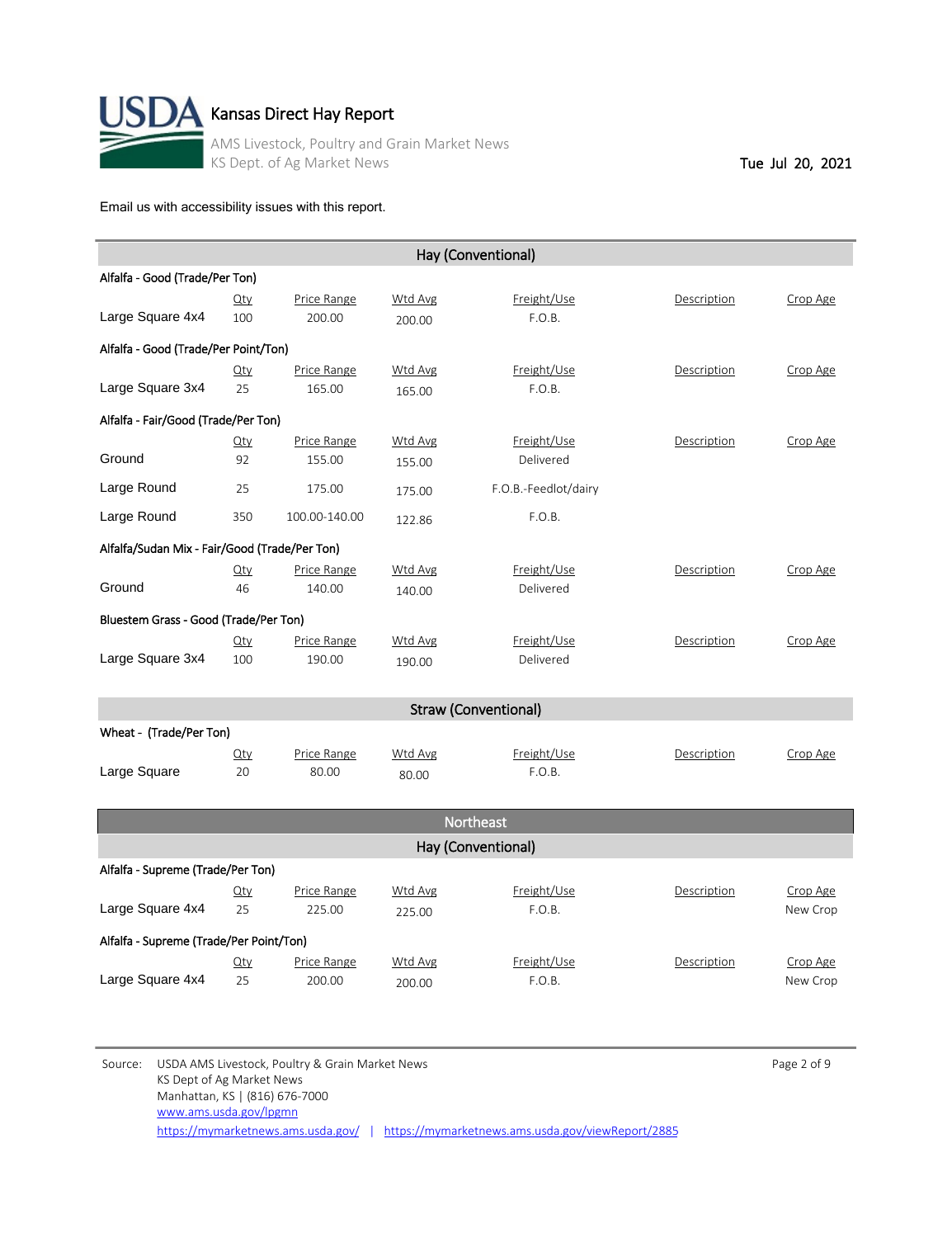

|                                               |        |               |                | Hay (Conventional)          |             |          |
|-----------------------------------------------|--------|---------------|----------------|-----------------------------|-------------|----------|
| Alfalfa - Good (Trade/Per Ton)                |        |               |                |                             |             |          |
|                                               | Qty    | Price Range   | <b>Wtd Avg</b> | Freight/Use                 | Description | Crop Age |
| Large Square 4x4                              | 100    | 200.00        | 200.00         | F.O.B.                      |             |          |
| Alfalfa - Good (Trade/Per Point/Ton)          |        |               |                |                             |             |          |
|                                               | $Q$ ty | Price Range   | Wtd Avg        | Freight/Use                 | Description | Crop Age |
| Large Square 3x4                              | 25     | 165.00        | 165.00         | F.O.B.                      |             |          |
| Alfalfa - Fair/Good (Trade/Per Ton)           |        |               |                |                             |             |          |
|                                               | $Q$ ty | Price Range   | Wtd Avg        | Freight/Use                 | Description | Crop Age |
| Ground                                        | 92     | 155.00        | 155.00         | Delivered                   |             |          |
| Large Round                                   | 25     | 175.00        | 175.00         | F.O.B.-Feedlot/dairy        |             |          |
| Large Round                                   | 350    | 100.00-140.00 | 122.86         | F.O.B.                      |             |          |
| Alfalfa/Sudan Mix - Fair/Good (Trade/Per Ton) |        |               |                |                             |             |          |
|                                               | $Q$ ty | Price Range   | Wtd Avg        | Freight/Use                 | Description | Crop Age |
| Ground                                        | 46     | 140.00        | 140.00         | Delivered                   |             |          |
| Bluestem Grass - Good (Trade/Per Ton)         |        |               |                |                             |             |          |
|                                               | $Q$ ty | Price Range   | <b>Wtd Avg</b> | Freight/Use                 | Description | Crop Age |
| Large Square 3x4                              | 100    | 190.00        | 190.00         | Delivered                   |             |          |
|                                               |        |               |                |                             |             |          |
|                                               |        |               |                | <b>Straw (Conventional)</b> |             |          |
| Wheat - (Trade/Per Ton)                       |        |               |                |                             |             |          |
|                                               | $Q$ ty | Price Range   | Wtd Avg        | Freight/Use                 | Description | Crop Age |
| Large Square                                  | 20     | 80.00         | 80.00          | F.O.B.                      |             |          |

|                                   |                                         |                       |                   | <b>Northeast</b>      |             |                      |  |  |
|-----------------------------------|-----------------------------------------|-----------------------|-------------------|-----------------------|-------------|----------------------|--|--|
|                                   |                                         |                       |                   | Hay (Conventional)    |             |                      |  |  |
| Alfalfa - Supreme (Trade/Per Ton) |                                         |                       |                   |                       |             |                      |  |  |
| Large Square 4x4                  | $Q$ ty<br>25                            | Price Range<br>225.00 | Wtd Avg<br>225.00 | Freight/Use<br>F.O.B. | Description | Crop Age<br>New Crop |  |  |
|                                   | Alfalfa - Supreme (Trade/Per Point/Ton) |                       |                   |                       |             |                      |  |  |
| Large Square 4x4                  | $Q$ ty<br>25                            | Price Range<br>200.00 | Wtd Avg<br>200.00 | Freight/Use<br>F.O.B. | Description | Crop Age<br>New Crop |  |  |

Source: USDA AMS Livestock, Poultry & Grain Market News **Page 2 of 9** Page 2 of 9 KS Dept of Ag Market News Manhattan, KS | (816) 676-7000 <https://mymarketnews.ams.usda.gov/> | <https://mymarketnews.ams.usda.gov/viewReport/2885> [www.ams.usda.gov/lpgmn](http://www.ams.usda.gov/lpgmn)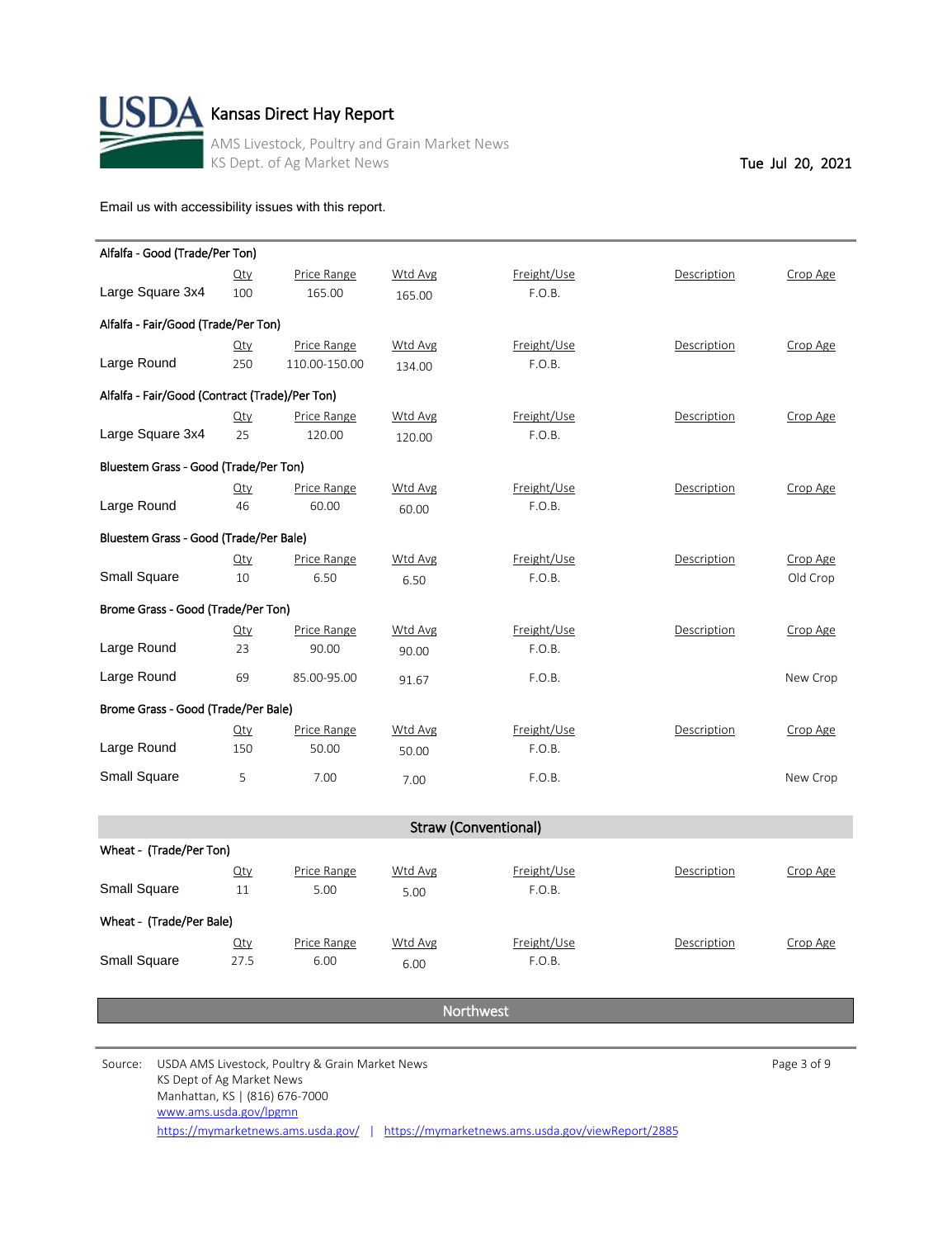

# Kansas Direct Hay Report

AMS Livestock, Poultry and Grain Market News KS Dept. of Ag Market News Tue Jul 20, 2021

[Email us with accessibility issues with this report.](mailto:mars@ams.usda.gov?subjectNot%20able%20to%20access%20video%20auction%20report)

| Alfalfa - Good (Trade/Per Ton)                 |        |               |         |             |             |          |
|------------------------------------------------|--------|---------------|---------|-------------|-------------|----------|
|                                                | $Q$ ty | Price Range   | Wtd Avg | Freight/Use | Description | Crop Age |
| Large Square 3x4                               | 100    | 165.00        | 165.00  | F.O.B.      |             |          |
| Alfalfa - Fair/Good (Trade/Per Ton)            |        |               |         |             |             |          |
|                                                | $Q$ ty | Price Range   | Wtd Avg | Freight/Use | Description | Crop Age |
| Large Round                                    | 250    | 110.00-150.00 | 134.00  | F.O.B.      |             |          |
| Alfalfa - Fair/Good (Contract (Trade)/Per Ton) |        |               |         |             |             |          |
|                                                | $Q$ ty | Price Range   | Wtd Avg | Freight/Use | Description | Crop Age |
| Large Square 3x4                               | 25     | 120.00        | 120.00  | F.O.B.      |             |          |
| Bluestem Grass - Good (Trade/Per Ton)          |        |               |         |             |             |          |
|                                                | $Q$ ty | Price Range   | Wtd Avg | Freight/Use | Description | Crop Age |
| Large Round                                    | 46     | 60.00         | 60.00   | F.O.B.      |             |          |
| Bluestem Grass - Good (Trade/Per Bale)         |        |               |         |             |             |          |
|                                                | $Q$ ty | Price Range   | Wtd Avg | Freight/Use | Description | Crop Age |
| <b>Small Square</b>                            | 10     | 6.50          | 6.50    | F.O.B.      |             | Old Crop |
| Brome Grass - Good (Trade/Per Ton)             |        |               |         |             |             |          |
|                                                | $Q$ ty | Price Range   | Wtd Avg | Freight/Use | Description | Crop Age |
| Large Round                                    | 23     | 90.00         | 90.00   | F.O.B.      |             |          |
| Large Round                                    | 69     | 85.00-95.00   | 91.67   | F.O.B.      |             | New Crop |
| Brome Grass - Good (Trade/Per Bale)            |        |               |         |             |             |          |
|                                                | $Q$ ty | Price Range   | Wtd Avg | Freight/Use | Description | Crop Age |
| Large Round                                    | 150    | 50.00         | 50.00   | F.O.B.      |             |          |
| Small Square                                   | 5      | 7.00          | 7.00    | F.O.B.      |             | New Crop |

|                          | <b>Straw (Conventional)</b> |                     |                 |                       |             |          |  |  |
|--------------------------|-----------------------------|---------------------|-----------------|-----------------------|-------------|----------|--|--|
| Wheat - (Trade/Per Ton)  |                             |                     |                 |                       |             |          |  |  |
| <b>Small Square</b>      | $Q$ ty<br>11                | Price Range<br>5.00 | Wtd Avg<br>5.00 | Freight/Use<br>F.O.B. | Description | Crop Age |  |  |
| Wheat - (Trade/Per Bale) |                             |                     |                 |                       |             |          |  |  |
| <b>Small Square</b>      | $Q$ ty<br>27.5              | Price Range<br>6.00 | Wtd Avg<br>6.00 | Freight/Use<br>F.O.B. | Description | Crop Age |  |  |

Northwest

Source: USDA AMS Livestock, Poultry & Grain Market News **Page 3 of 9** Page 3 of 9 KS Dept of Ag Market News Manhattan, KS | (816) 676-7000 <https://mymarketnews.ams.usda.gov/> | <https://mymarketnews.ams.usda.gov/viewReport/2885> [www.ams.usda.gov/lpgmn](http://www.ams.usda.gov/lpgmn)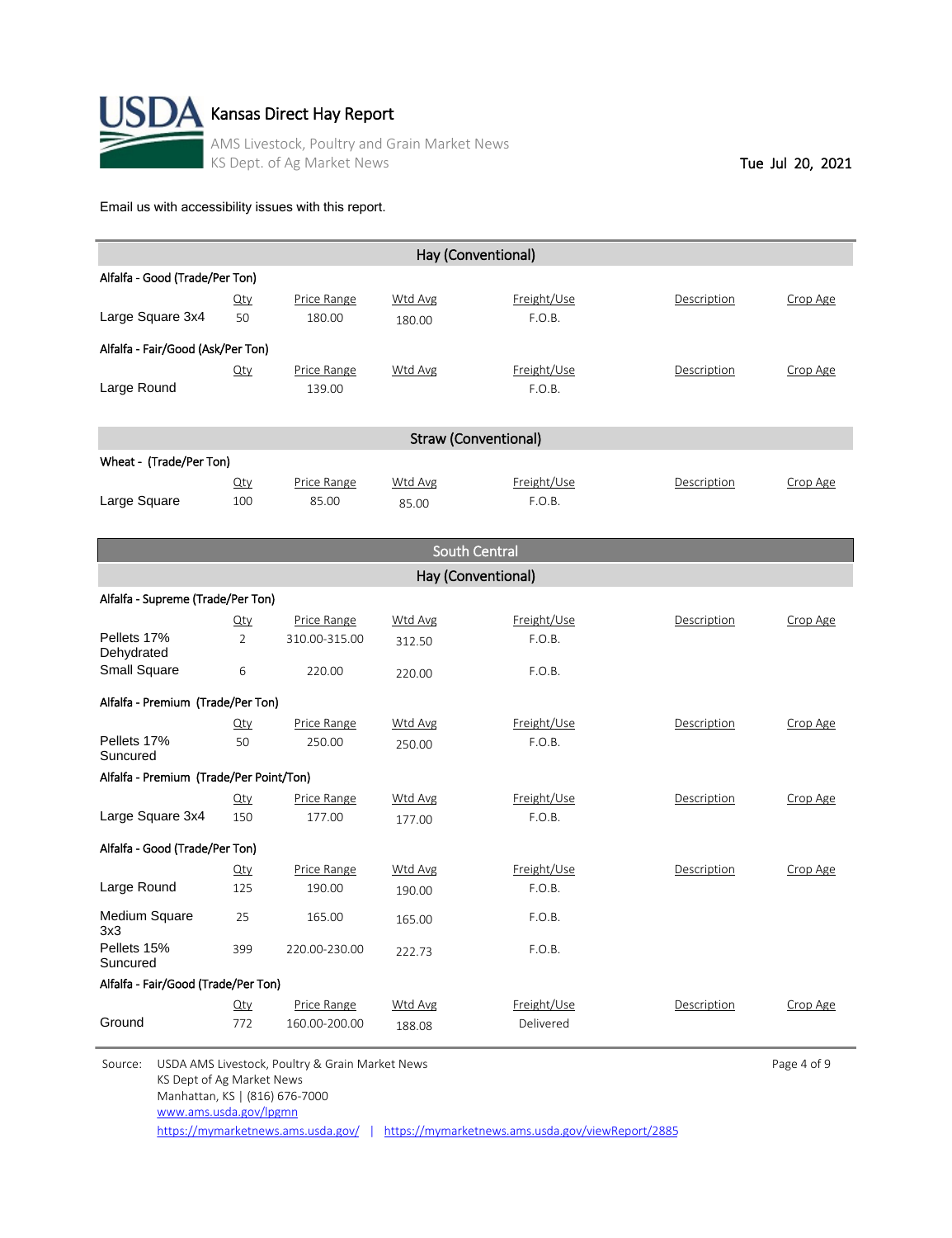

|                                   |        |             |                | Hay (Conventional)          |             |          |
|-----------------------------------|--------|-------------|----------------|-----------------------------|-------------|----------|
| Alfalfa - Good (Trade/Per Ton)    |        |             |                |                             |             |          |
|                                   | $Q$ ty | Price Range | <b>Wtd Avg</b> | Freight/Use                 | Description | Crop Age |
| Large Square 3x4                  | 50     | 180.00      | 180.00         | F.O.B.                      |             |          |
| Alfalfa - Fair/Good (Ask/Per Ton) |        |             |                |                             |             |          |
|                                   | $Q$ ty | Price Range | <b>Wtd Avg</b> | Freight/Use                 | Description | Crop Age |
| Large Round                       |        | 139.00      |                | F.O.B.                      |             |          |
|                                   |        |             |                |                             |             |          |
|                                   |        |             |                | <b>Straw (Conventional)</b> |             |          |
| Wheat - (Trade/Per Ton)           |        |             |                |                             |             |          |
|                                   | $Q$ ty | Price Range | <b>Wtd Avg</b> | Freight/Use                 | Description | Crop Age |
| Large Square                      | 100    | 85.00       | 85.00          | F.O.B.                      |             |          |

|                                         |                    |               |                | South Central |             |          |  |  |  |
|-----------------------------------------|--------------------|---------------|----------------|---------------|-------------|----------|--|--|--|
|                                         | Hay (Conventional) |               |                |               |             |          |  |  |  |
| Alfalfa - Supreme (Trade/Per Ton)       |                    |               |                |               |             |          |  |  |  |
|                                         | $Q$ ty             | Price Range   | Wtd Avg        | Freight/Use   | Description | Crop Age |  |  |  |
| Pellets 17%<br>Dehydrated               | $\overline{2}$     | 310.00-315.00 | 312.50         | F.O.B.        |             |          |  |  |  |
| <b>Small Square</b>                     | 6                  | 220.00        | 220.00         | F.O.B.        |             |          |  |  |  |
| Alfalfa - Premium (Trade/Per Ton)       |                    |               |                |               |             |          |  |  |  |
|                                         | Qty                | Price Range   | Wtd Avg        | Freight/Use   | Description | Crop Age |  |  |  |
| Pellets 17%<br>Suncured                 | 50                 | 250.00        | 250.00         | F.O.B.        |             |          |  |  |  |
| Alfalfa - Premium (Trade/Per Point/Ton) |                    |               |                |               |             |          |  |  |  |
|                                         | $Q$ ty             | Price Range   | Wtd Avg        | Freight/Use   | Description | Crop Age |  |  |  |
| Large Square 3x4                        | 150                | 177.00        | 177.00         | F.O.B.        |             |          |  |  |  |
| Alfalfa - Good (Trade/Per Ton)          |                    |               |                |               |             |          |  |  |  |
|                                         | $Q$ ty             | Price Range   | Wtd Avg        | Freight/Use   | Description | Crop Age |  |  |  |
| Large Round                             | 125                | 190.00        | 190.00         | F.O.B.        |             |          |  |  |  |
| <b>Medium Square</b><br>3x3             | 25                 | 165.00        | 165.00         | F.O.B.        |             |          |  |  |  |
| Pellets 15%<br>Suncured                 | 399                | 220.00-230.00 | 222.73         | F.O.B.        |             |          |  |  |  |
| Alfalfa - Fair/Good (Trade/Per Ton)     |                    |               |                |               |             |          |  |  |  |
|                                         | $Q$ ty             | Price Range   | <b>Wtd Avg</b> | Freight/Use   | Description | Crop Age |  |  |  |
| Ground                                  | 772                | 160.00-200.00 | 188.08         | Delivered     |             |          |  |  |  |

Source: USDA AMS Livestock, Poultry & Grain Market News **Page 4 of 9** Page 4 of 9 KS Dept of Ag Market News Manhattan, KS | (816) 676-7000 <https://mymarketnews.ams.usda.gov/> | <https://mymarketnews.ams.usda.gov/viewReport/2885> [www.ams.usda.gov/lpgmn](http://www.ams.usda.gov/lpgmn)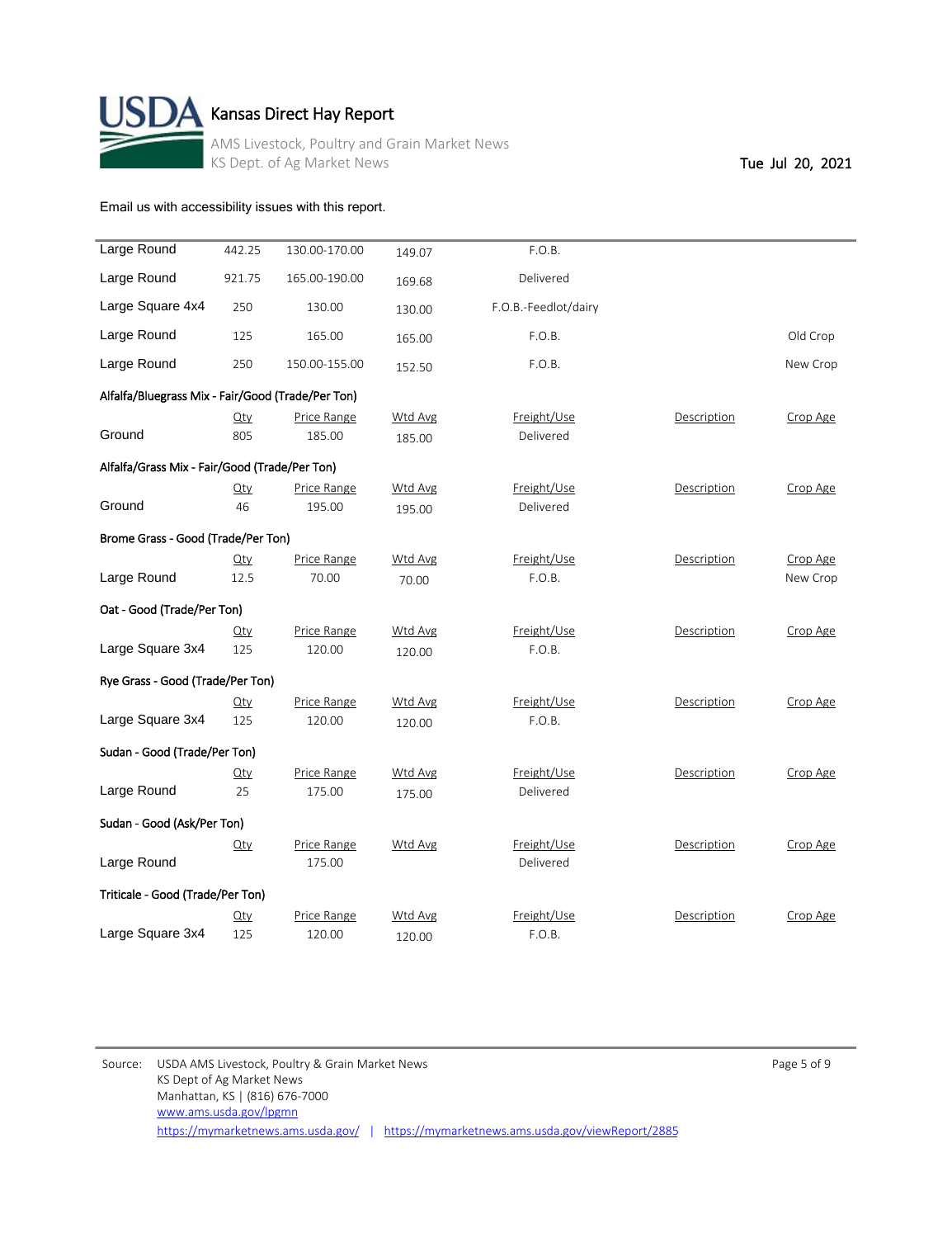

# $\blacktriangle$  Kansas Direct Hay Report

AMS Livestock, Poultry and Grain Market News KS Dept. of Ag Market News Tue Jul 20, 2021

[Email us with accessibility issues with this report.](mailto:mars@ams.usda.gov?subjectNot%20able%20to%20access%20video%20auction%20report)

| Large Round                                       | 442.25 | 130.00-170.00 | 149.07  | F.O.B.               |             |          |
|---------------------------------------------------|--------|---------------|---------|----------------------|-------------|----------|
| Large Round                                       | 921.75 | 165.00-190.00 | 169.68  | Delivered            |             |          |
| Large Square 4x4                                  | 250    | 130.00        | 130.00  | F.O.B.-Feedlot/dairy |             |          |
| Large Round                                       | 125    | 165.00        | 165.00  | F.O.B.               |             | Old Crop |
| Large Round                                       | 250    | 150.00-155.00 | 152.50  | F.O.B.               |             | New Crop |
| Alfalfa/Bluegrass Mix - Fair/Good (Trade/Per Ton) |        |               |         |                      |             |          |
|                                                   | $Q$ ty | Price Range   | Wtd Avg | Freight/Use          | Description | Crop Age |
|                                                   |        |               |         |                      |             |          |
| Ground                                            | 805    | 185.00        | 185.00  | Delivered            |             |          |
| Alfalfa/Grass Mix - Fair/Good (Trade/Per Ton)     |        |               |         |                      |             |          |
|                                                   | $Q$ ty | Price Range   | Wtd Avg | Freight/Use          | Description | Crop Age |
| Ground                                            | 46     | 195.00        | 195.00  | Delivered            |             |          |
|                                                   |        |               |         |                      |             |          |
| Brome Grass - Good (Trade/Per Ton)                |        |               |         |                      |             |          |
|                                                   | $Q$ ty | Price Range   | Wtd Avg | Freight/Use          | Description | Crop Age |
| Large Round                                       | 12.5   | 70.00         | 70.00   | F.O.B.               |             | New Crop |
| Oat - Good (Trade/Per Ton)                        |        |               |         |                      |             |          |
|                                                   |        |               |         |                      |             |          |
|                                                   | $Q$ ty | Price Range   | Wtd Avg | Freight/Use          | Description | Crop Age |
| Large Square 3x4                                  | 125    | 120.00        | 120.00  | F.O.B.               |             |          |
| Rye Grass - Good (Trade/Per Ton)                  |        |               |         |                      |             |          |
|                                                   | $Q$ ty | Price Range   | Wtd Avg | Freight/Use          | Description | Crop Age |
| Large Square 3x4                                  | 125    | 120.00        | 120.00  | F.O.B.               |             |          |
| Sudan - Good (Trade/Per Ton)                      |        |               |         |                      |             |          |
|                                                   |        |               |         |                      |             |          |
|                                                   | $Q$ ty | Price Range   | Wtd Avg | Freight/Use          | Description | Crop Age |
| Large Round                                       | 25     | 175.00        | 175.00  | Delivered            |             |          |
| Sudan - Good (Ask/Per Ton)                        |        |               |         |                      |             |          |
|                                                   | $Q$ ty | Price Range   | Wtd Avg | Freight/Use          | Description | Crop Age |
| Large Round                                       |        | 175.00        |         | Delivered            |             |          |
|                                                   |        |               |         |                      |             |          |
| Triticale - Good (Trade/Per Ton)                  |        |               |         |                      |             |          |
|                                                   | Qty    | Price Range   | Wtd Avg | Freight/Use          | Description | Crop Age |
| Large Square 3x4                                  | 125    | 120.00        | 120.00  | F.O.B.               |             |          |
|                                                   |        |               |         |                      |             |          |

Source: USDA AMS Livestock, Poultry & Grain Market News **Page 5 of 9** Page 5 of 9 KS Dept of Ag Market News Manhattan, KS | (816) 676-7000 <https://mymarketnews.ams.usda.gov/> | <https://mymarketnews.ams.usda.gov/viewReport/2885> [www.ams.usda.gov/lpgmn](http://www.ams.usda.gov/lpgmn)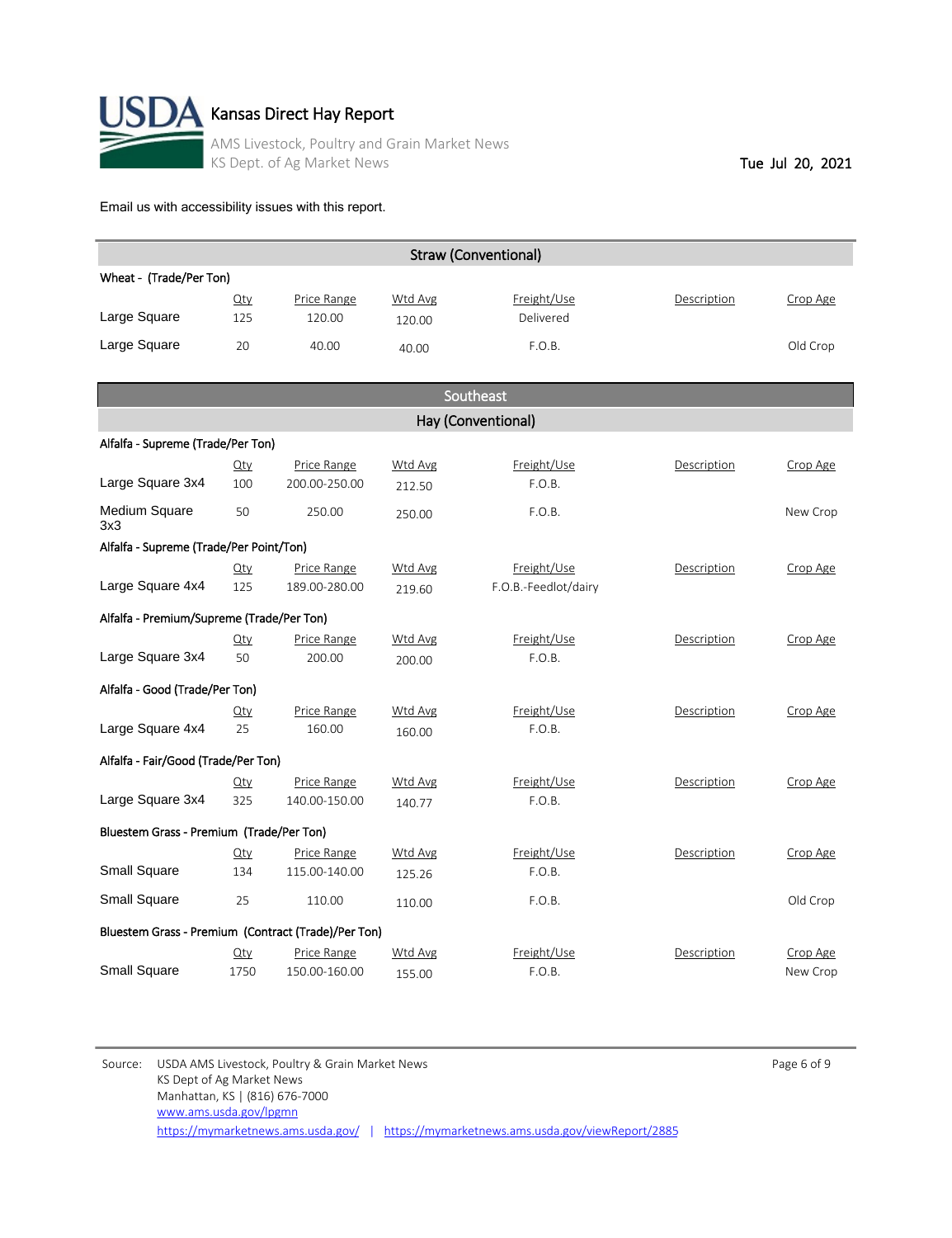

|                                                     |               |                              |                          | <b>Straw (Conventional)</b> |             |          |
|-----------------------------------------------------|---------------|------------------------------|--------------------------|-----------------------------|-------------|----------|
| Wheat - (Trade/Per Ton)                             |               |                              |                          |                             |             |          |
| Large Square                                        | $Q$ ty<br>125 | Price Range<br>120.00        | Wtd Avg<br>120.00        | Freight/Use<br>Delivered    | Description | Crop Age |
| Large Square                                        | 20            | 40.00                        | 40.00                    | F.O.B.                      |             | Old Crop |
|                                                     |               |                              |                          |                             |             |          |
|                                                     |               |                              |                          | Southeast                   |             |          |
|                                                     |               |                              |                          | Hay (Conventional)          |             |          |
| Alfalfa - Supreme (Trade/Per Ton)                   |               |                              |                          |                             |             |          |
| Large Square 3x4                                    | $Q$ ty<br>100 | Price Range<br>200.00-250.00 | <b>Wtd Avg</b><br>212.50 | Freight/Use<br>F.O.B.       | Description | Crop Age |
| <b>Medium Square</b><br>3x3                         | 50            | 250.00                       | 250.00                   | F.O.B.                      |             | New Crop |
| Alfalfa - Supreme (Trade/Per Point/Ton)             |               |                              |                          |                             |             |          |
|                                                     | Qty           | Price Range                  | Wtd Avg                  | Freight/Use                 | Description | Crop Age |
| Large Square 4x4                                    | 125           | 189.00-280.00                | 219.60                   | F.O.B.-Feedlot/dairy        |             |          |
| Alfalfa - Premium/Supreme (Trade/Per Ton)           |               |                              |                          |                             |             |          |
|                                                     | Qty           | Price Range                  | <b>Wtd Avg</b>           | Freight/Use                 | Description | Crop Age |
| Large Square 3x4                                    | 50            | 200.00                       | 200.00                   | F.O.B.                      |             |          |
| Alfalfa - Good (Trade/Per Ton)                      |               |                              |                          |                             |             |          |
|                                                     | $Q$ ty        | Price Range                  | Wtd Avg                  | Freight/Use                 | Description | Crop Age |
| Large Square 4x4                                    | 25            | 160.00                       | 160.00                   | F.O.B.                      |             |          |
| Alfalfa - Fair/Good (Trade/Per Ton)                 |               |                              |                          |                             |             |          |
|                                                     | Qty           | Price Range                  | Wtd Avg                  | Freight/Use                 | Description | Crop Age |
| Large Square 3x4                                    | 325           | 140.00-150.00                | 140.77                   | F.O.B.                      |             |          |
| Bluestem Grass - Premium (Trade/Per Ton)            |               |                              |                          |                             |             |          |
|                                                     | $Q$ ty        | Price Range                  | Wtd Avg                  | Freight/Use                 | Description | Crop Age |
| <b>Small Square</b>                                 | 134           | 115.00-140.00                | 125.26                   | F.O.B.                      |             |          |
| <b>Small Square</b>                                 | 25            | 110.00                       | 110.00                   | F.O.B.                      |             | Old Crop |
| Bluestem Grass - Premium (Contract (Trade)/Per Ton) |               |                              |                          |                             |             |          |
|                                                     | $Q$ ty        | Price Range                  | Wtd Avg                  | Freight/Use                 | Description | Crop Age |
| <b>Small Square</b>                                 | 1750          | 150.00-160.00                | 155.00                   | F.O.B.                      |             | New Crop |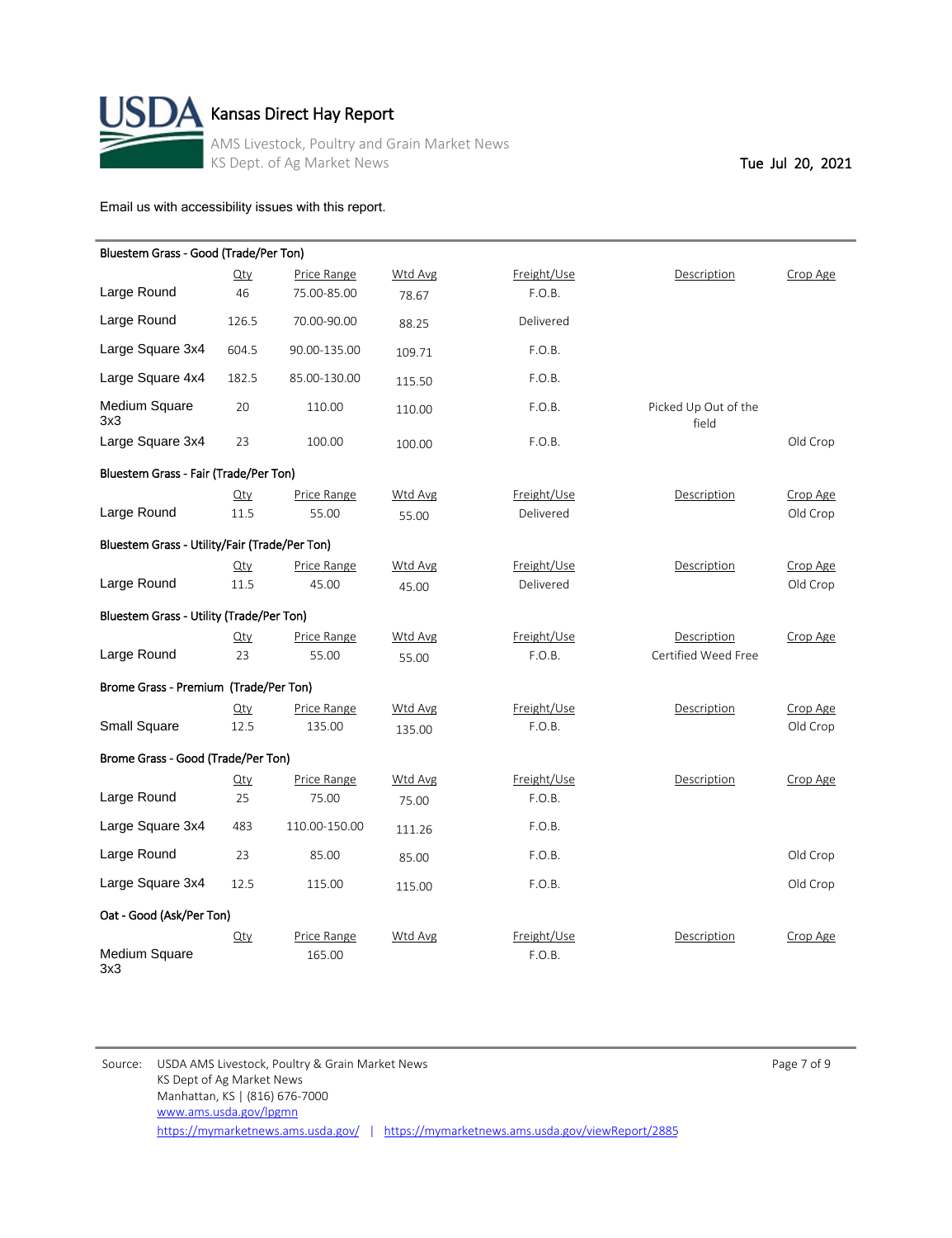

# $\mathbf A$  Kansas Direct Hay Report

AMS Livestock, Poultry and Grain Market News KS Dept. of Ag Market News Tue Jul 20, 2021

[Email us with accessibility issues with this report.](mailto:mars@ams.usda.gov?subjectNot%20able%20to%20access%20video%20auction%20report)

| Bluestem Grass - Good (Trade/Per Ton)         |             |               |                |             |                               |          |
|-----------------------------------------------|-------------|---------------|----------------|-------------|-------------------------------|----------|
|                                               | $Q$ ty      | Price Range   | Wtd Avg        | Freight/Use | Description                   | Crop Age |
| Large Round                                   | 46          | 75.00-85.00   | 78.67          | F.O.B.      |                               |          |
| Large Round                                   | 126.5       | 70.00-90.00   | 88.25          | Delivered   |                               |          |
| Large Square 3x4                              | 604.5       | 90.00-135.00  | 109.71         | F.O.B.      |                               |          |
| Large Square 4x4                              | 182.5       | 85.00-130.00  | 115.50         | F.O.B.      |                               |          |
| Medium Square<br>3x3                          | 20          | 110.00        | 110.00         | F.O.B.      | Picked Up Out of the<br>field |          |
| Large Square 3x4                              | 23          | 100.00        | 100.00         | F.O.B.      |                               | Old Crop |
| Bluestem Grass - Fair (Trade/Per Ton)         |             |               |                |             |                               |          |
|                                               | $Q$ ty      | Price Range   | Wtd Avg        | Freight/Use | Description                   | Crop Age |
| Large Round                                   | 11.5        | 55.00         | 55.00          | Delivered   |                               | Old Crop |
| Bluestem Grass - Utility/Fair (Trade/Per Ton) |             |               |                |             |                               |          |
|                                               | $Q$ ty      | Price Range   | Wtd Avg        | Freight/Use | Description                   | Crop Age |
| Large Round                                   | 11.5        | 45.00         | 45.00          | Delivered   |                               | Old Crop |
| Bluestem Grass - Utility (Trade/Per Ton)      |             |               |                |             |                               |          |
|                                               | $\Omega$ ty | Price Range   | Wtd Avg        | Freight/Use | Description                   | Crop Age |
| Large Round                                   | 23          | 55.00         | 55.00          | F.O.B.      | Certified Weed Free           |          |
| Brome Grass - Premium (Trade/Per Ton)         |             |               |                |             |                               |          |
|                                               | $Q$ ty      | Price Range   | <b>Wtd Avg</b> | Freight/Use | Description                   | Crop Age |
| <b>Small Square</b>                           | 12.5        | 135.00        | 135.00         | F.O.B.      |                               | Old Crop |
| Brome Grass - Good (Trade/Per Ton)            |             |               |                |             |                               |          |
|                                               | $Q$ ty      | Price Range   | Wtd Avg        | Freight/Use | Description                   | Crop Age |
| Large Round                                   | 25          | 75.00         | 75.00          | F.O.B.      |                               |          |
| Large Square 3x4                              | 483         | 110.00-150.00 | 111.26         | F.O.B.      |                               |          |
| Large Round                                   | 23          | 85.00         | 85.00          | F.O.B.      |                               | Old Crop |
| Large Square 3x4                              | 12.5        | 115.00        | 115.00         | F.O.B.      |                               | Old Crop |
| Oat - Good (Ask/Per Ton)                      |             |               |                |             |                               |          |
|                                               | $Q$ ty      | Price Range   | Wtd Avg        | Freight/Use | Description                   | Crop Age |
| Medium Square<br>3x3                          |             | 165.00        |                | F.O.B.      |                               |          |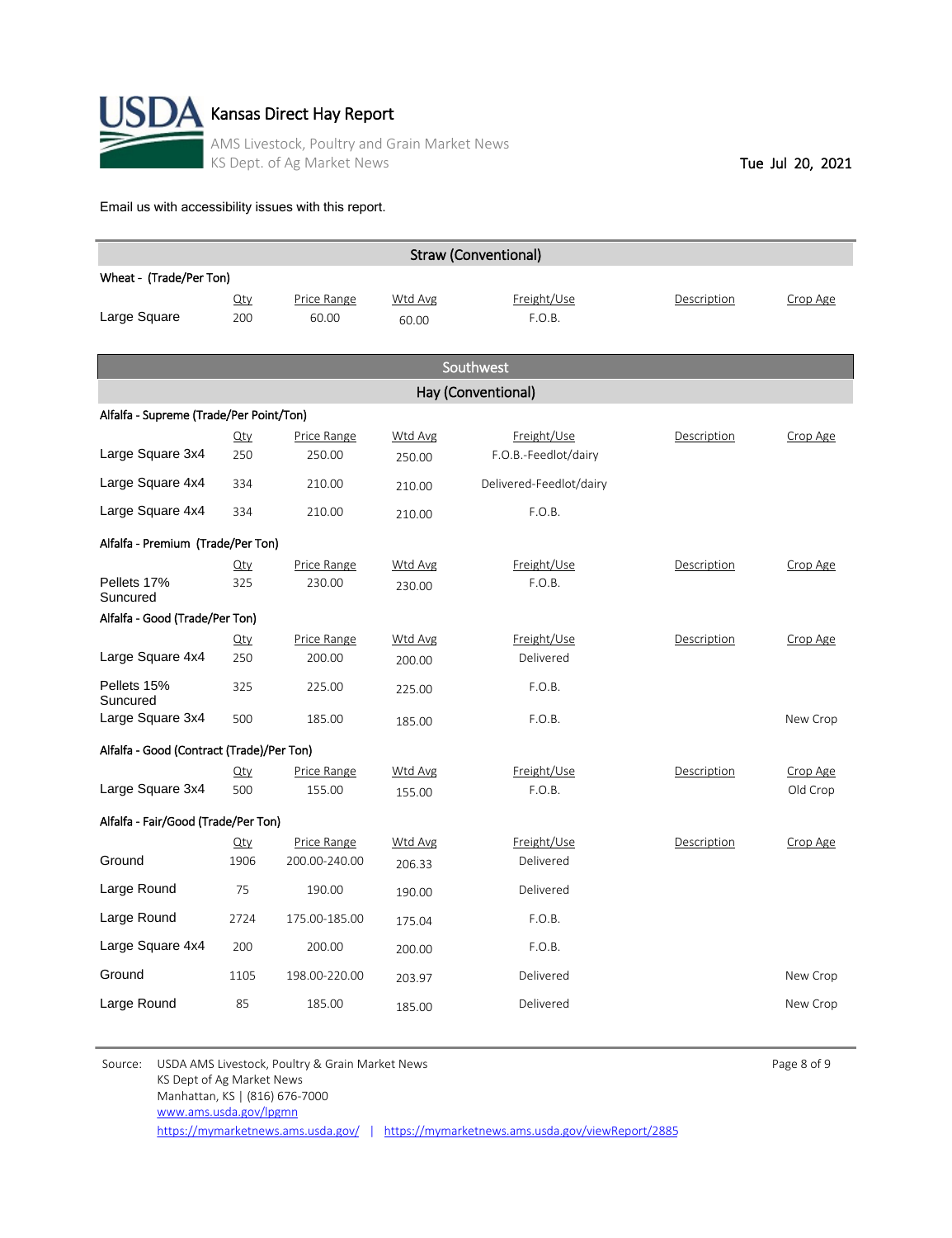

| <b>Straw (Conventional)</b>               |                |                              |                   |                                     |             |                      |  |  |  |  |  |  |
|-------------------------------------------|----------------|------------------------------|-------------------|-------------------------------------|-------------|----------------------|--|--|--|--|--|--|
| Wheat - (Trade/Per Ton)                   |                |                              |                   |                                     |             |                      |  |  |  |  |  |  |
| Large Square                              | $Q$ ty<br>200  | Price Range<br>60.00         | Wtd Avg<br>60.00  | Freight/Use<br>F.O.B.               | Description | Crop Age             |  |  |  |  |  |  |
| Southwest                                 |                |                              |                   |                                     |             |                      |  |  |  |  |  |  |
| Hay (Conventional)                        |                |                              |                   |                                     |             |                      |  |  |  |  |  |  |
| Alfalfa - Supreme (Trade/Per Point/Ton)   |                |                              |                   |                                     |             |                      |  |  |  |  |  |  |
| Large Square 3x4                          | $Q$ ty<br>250  | Price Range<br>250.00        | Wtd Avg<br>250.00 | Freight/Use<br>F.O.B.-Feedlot/dairy | Description | Crop Age             |  |  |  |  |  |  |
| Large Square 4x4                          | 334            | 210.00                       | 210.00            | Delivered-Feedlot/dairy             |             |                      |  |  |  |  |  |  |
| Large Square 4x4                          | 334            | 210.00                       | 210.00            | F.O.B.                              |             |                      |  |  |  |  |  |  |
| Alfalfa - Premium (Trade/Per Ton)         |                |                              |                   |                                     |             |                      |  |  |  |  |  |  |
| Pellets 17%<br>Suncured                   | $Q$ ty<br>325  | Price Range<br>230.00        | Wtd Avg<br>230.00 | Freight/Use<br>F.O.B.               | Description | Crop Age             |  |  |  |  |  |  |
| Alfalfa - Good (Trade/Per Ton)            |                |                              |                   |                                     |             |                      |  |  |  |  |  |  |
| Large Square 4x4                          | $Q$ ty<br>250  | Price Range<br>200.00        | Wtd Avg<br>200.00 | Freight/Use<br>Delivered            | Description | Crop Age             |  |  |  |  |  |  |
| Pellets 15%<br>Suncured                   | 325            | 225.00                       | 225.00            | F.O.B.                              |             |                      |  |  |  |  |  |  |
| Large Square 3x4                          | 500            | 185.00                       | 185.00            | F.O.B.                              |             | New Crop             |  |  |  |  |  |  |
| Alfalfa - Good (Contract (Trade)/Per Ton) |                |                              |                   |                                     |             |                      |  |  |  |  |  |  |
| Large Square 3x4                          | $Q$ ty<br>500  | Price Range<br>155.00        | Wtd Avg<br>155.00 | Freight/Use<br>F.O.B.               | Description | Crop Age<br>Old Crop |  |  |  |  |  |  |
| Alfalfa - Fair/Good (Trade/Per Ton)       |                |                              |                   |                                     |             |                      |  |  |  |  |  |  |
| Ground                                    | $Q$ ty<br>1906 | Price Range<br>200.00-240.00 | Wtd Avg<br>206.33 | Freight/Use<br>Delivered            | Description | Crop Age             |  |  |  |  |  |  |
| Large Round                               | 75             | 190.00                       | 190.00            | Delivered                           |             |                      |  |  |  |  |  |  |
| Large Round                               | 2724           | 175.00-185.00                | 175.04            | F.O.B.                              |             |                      |  |  |  |  |  |  |
| Large Square 4x4                          | 200            | 200.00                       | 200.00            | F.O.B.                              |             |                      |  |  |  |  |  |  |
| Ground                                    | 1105           | 198.00-220.00                | 203.97            | Delivered                           |             | New Crop             |  |  |  |  |  |  |
| Large Round                               | 85             | 185.00                       | 185.00            | Delivered                           |             | New Crop             |  |  |  |  |  |  |

Source: USDA AMS Livestock, Poultry & Grain Market News **Page 8 of 9** Page 8 of 9 KS Dept of Ag Market News Manhattan, KS | (816) 676-7000 <https://mymarketnews.ams.usda.gov/> | <https://mymarketnews.ams.usda.gov/viewReport/2885> [www.ams.usda.gov/lpgmn](http://www.ams.usda.gov/lpgmn)